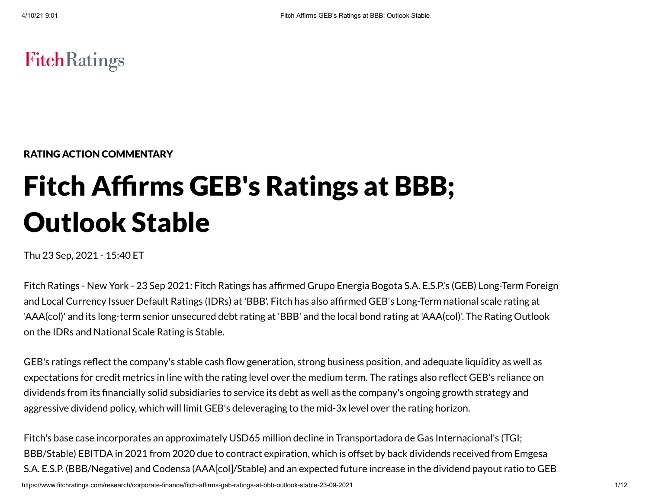# **FitchRatings**

RATING ACTION COMMENTARY

# Fitch Affirms GEB's Ratings at BBB; Outlook Stable

Thu 23 Sep, 2021 - 15:40 ET

Fitch Ratings - New York - 23 Sep 2021: Fitch Ratings has affirmed Grupo Energia Bogota S.A. E.S.P.'s (GEB) Long-Term Foreign and Local Currency Issuer Default Ratings (IDRs) at 'BBB'. Fitch has also affirmed GEB's Long-Term national scale rating at 'AAA(col)' and its long-term senior unsecured debt rating at 'BBB' and the local bond rating at 'AAA(col)'. The Rating Outlook on the IDRs and National Scale Rating is Stable.

GEB's ratings reflect the company's stable cash flow generation, strong business position, and adequate liquidity as well as expectations for credit metrics in line with the rating level over the medium term. The ratings also reflect GEB's reliance on dividends from its financially solid subsidiaries to service its debt as well as the company's ongoing growth strategy and aggressive dividend policy, which will limit GEB's deleveraging to the mid-3x level over the rating horizon.

Fitch's base case incorporates an approximately USD65 million decline in Transportadora de Gas Internacional's (TGI; BBB/Stable) EBITDA in 2021 from 2020 due to contract expiration, which is offset by back dividends received from Emgesa S.A. E.S.P. (BBB/Negative) and Codensa (AAA[col]/Stable) and an expected future increase in the dividend payout ratio to GEB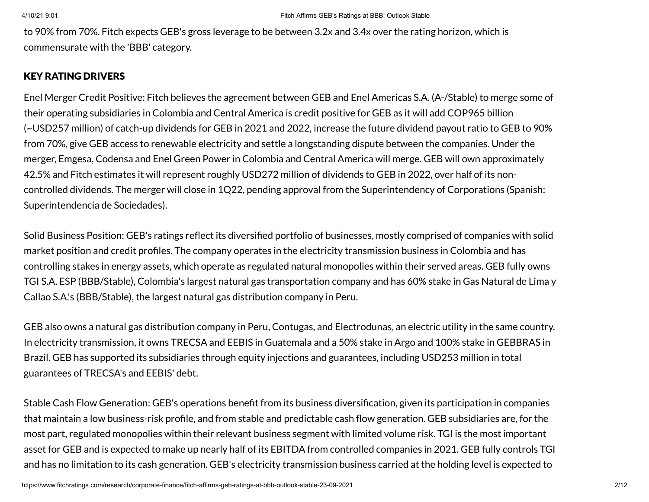to 90% from 70%. Fitch expects GEB's gross leverage to be between 3.2x and 3.4x over the rating horizon, which is commensurate with the 'BBB' category.

# KEY RATING DRIVERS

Enel Merger Credit Positive: Fitch believes the agreement between GEB and Enel Americas S.A. (A-/Stable) to merge some of their operating subsidiaries in Colombia and Central America is credit positive for GEB as it will add COP965 billion (~USD257 million) of catch-up dividends for GEB in 2021 and 2022, increase the future dividend payout ratio to GEB to 90% from 70%, give GEB access to renewable electricity and settle a longstanding dispute between the companies. Under the merger, Emgesa, Codensa and Enel Green Power in Colombia and Central America will merge. GEB will own approximately 42.5% and Fitch estimates it will represent roughly USD272 million of dividends to GEB in 2022, over half of its noncontrolled dividends. The merger will close in 1Q22, pending approval from the Superintendency of Corporations (Spanish: Superintendencia de Sociedades).

Solid Business Position: GEB's ratings reflect its diversified portfolio of businesses, mostly comprised of companies with solid market position and credit profiles. The company operates in the electricity transmission business in Colombia and has controlling stakes in energy assets, which operate as regulated natural monopolies within their served areas. GEB fully owns TGI S.A. ESP (BBB/Stable), Colombia's largest natural gas transportation company and has 60% stake in Gas Natural de Lima y Callao S.A.'s (BBB/Stable), the largest natural gas distribution company in Peru.

GEB also owns a natural gas distribution company in Peru, Contugas, and Electrodunas, an electric utility in the same country. In electricity transmission, it owns TRECSA and EEBIS in Guatemala and a 50% stake in Argo and 100% stake in GEBBRAS in Brazil. GEB has supported its subsidiaries through equity injections and guarantees, including USD253 million in total guarantees of TRECSA's and EEBIS' debt.

Stable Cash Flow Generation: GEB's operations benefit from its business diversification, given its participation in companies that maintain a low business-risk profile, and from stable and predictable cash flow generation. GEB subsidiaries are, for the most part, regulated monopolies within their relevant business segment with limited volume risk. TGI is the most important asset for GEB and is expected to make up nearly half of its EBITDA from controlled companies in 2021. GEB fully controls TGI and has no limitation to its cash generation. GEB's electricity transmission business carried at the holding level is expected to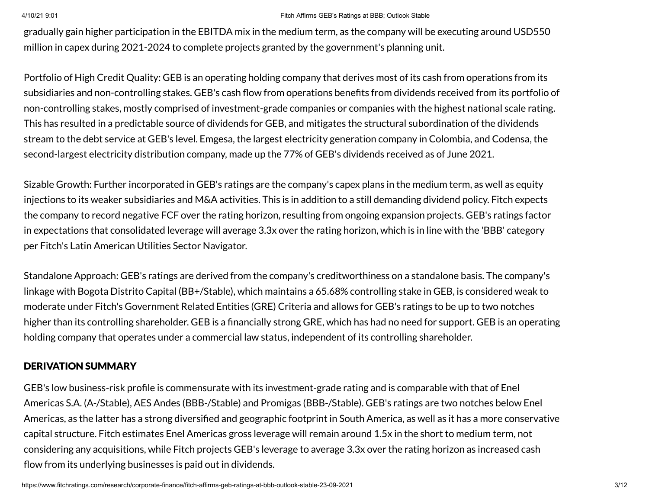gradually gain higher participation in the EBITDA mix in the medium term, as the company will be executing around USD550 million in capex during 2021-2024 to complete projects granted by the government's planning unit.

Portfolio of High Credit Quality: GEB is an operating holding company that derives most of its cash from operations from its subsidiaries and non-controlling stakes. GEB's cash flow from operations benefits from dividends received from its portfolio of non-controlling stakes, mostly comprised of investment-grade companies or companies with the highest national scale rating. This has resulted in a predictable source of dividends for GEB, and mitigates the structural subordination of the dividends stream to the debt service at GEB's level. Emgesa, the largest electricity generation company in Colombia, and Codensa, the second-largest electricity distribution company, made up the 77% of GEB's dividends received as of June 2021.

Sizable Growth: Further incorporated in GEB's ratings are the company's capex plans in the medium term, as well as equity injections to its weaker subsidiaries and M&A activities. This is in addition to a still demanding dividend policy. Fitch expects the company to record negative FCF over the rating horizon, resulting from ongoing expansion projects. GEB's ratings factor in expectations that consolidated leverage will average 3.3x over the rating horizon, which is in line with the 'BBB' category per Fitch's Latin American Utilities Sector Navigator.

Standalone Approach: GEB's ratings are derived from the company's creditworthiness on a standalone basis. The company's linkage with Bogota Distrito Capital (BB+/Stable), which maintains a 65.68% controlling stake in GEB, is considered weak to moderate under Fitch's Government Related Entities (GRE) Criteria and allows for GEB's ratings to be up to two notches higher than its controlling shareholder. GEB is a financially strong GRE, which has had no need for support. GEB is an operating holding company that operates under a commercial law status, independent of its controlling shareholder.

# DERIVATION SUMMARY

GEB's low business-risk profile is commensurate with its investment-grade rating and is comparable with that of Enel Americas S.A. (A-/Stable), AES Andes (BBB-/Stable) and Promigas (BBB-/Stable). GEB's ratings are two notches below Enel Americas, as the latter has a strong diversified and geographic footprint in South America, as well as it has a more conservative capital structure. Fitch estimates Enel Americas gross leverage will remain around 1.5x in the short to medium term, not considering any acquisitions, while Fitch projects GEB's leverage to average 3.3x over the rating horizon as increased cash flow from its underlying businesses is paid out in dividends.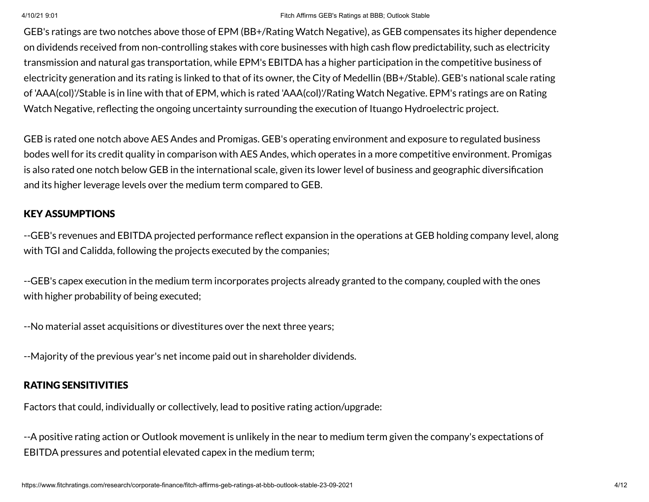GEB's ratings are two notches above those of EPM (BB+/Rating Watch Negative), as GEB compensates its higher dependence on dividends received from non-controlling stakes with core businesses with high cash flow predictability, such as electricity transmission and natural gas transportation, while EPM's EBITDA has a higher participation in the competitive business of electricity generation and its rating is linked to that of its owner, the City of Medellin (BB+/Stable). GEB's national scale rating of 'AAA(col)'/Stable is in line with that of EPM, which is rated 'AAA(col)'/Rating Watch Negative. EPM's ratings are on Rating Watch Negative, reflecting the ongoing uncertainty surrounding the execution of Ituango Hydroelectric project.

GEB is rated one notch above AES Andes and Promigas. GEB's operating environment and exposure to regulated business bodes well for its credit quality in comparison with AES Andes, which operates in a more competitive environment. Promigas is also rated one notch below GEB in the international scale, given its lower level of business and geographic diversification and its higher leverage levels over the medium term compared to GEB.

# KEY ASSUMPTIONS

--GEB's revenues and EBITDA projected performance reflect expansion in the operations at GEB holding company level, along with TGI and Calidda, following the projects executed by the companies;

--GEB's capex execution in the medium term incorporates projects already granted to the company, coupled with the ones with higher probability of being executed;

--No material asset acquisitions or divestitures over the next three years;

--Majority of the previous year's net income paid out in shareholder dividends.

# RATING SENSITIVITIES

Factors that could, individually or collectively, lead to positive rating action/upgrade:

--A positive rating action or Outlook movement is unlikely in the near to medium term given the company's expectations of EBITDA pressures and potential elevated capex in the medium term;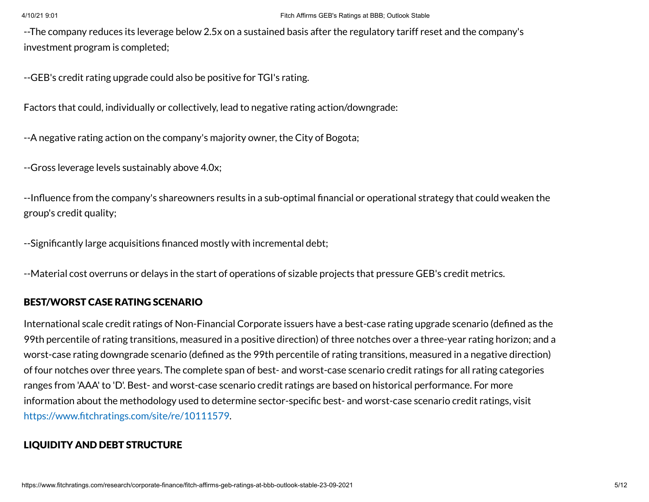--The company reduces its leverage below 2.5x on a sustained basis after the regulatory tariff reset and the company's investment program is completed;

--GEB's credit rating upgrade could also be positive for TGI's rating.

Factors that could, individually or collectively, lead to negative rating action/downgrade:

--A negative rating action on the company's majority owner, the City of Bogota;

--Gross leverage levels sustainably above 4.0x;

--Influence from the company's shareowners results in a sub-optimal financial or operational strategy that could weaken the group's credit quality;

--Significantly large acquisitions financed mostly with incremental debt;

--Material cost overruns or delays in the start of operations of sizable projects that pressure GEB's credit metrics.

# BEST/WORST CASE RATING SCENARIO

International scale credit ratings of Non-Financial Corporate issuers have a best-case rating upgrade scenario (defined as the 99th percentile of rating transitions, measured in a positive direction) of three notches over a three-year rating horizon; and a worst-case rating downgrade scenario (defined as the 99th percentile of rating transitions, measured in a negative direction) of four notches over three years. The complete span of best- and worst-case scenario credit ratings for all rating categories ranges from 'AAA' to 'D'. Best- and worst-case scenario credit ratings are based on historical performance. For more information about the methodology used to determine sector-specific best- and worst-case scenario credit ratings, visit [https://www.fitchratings.com/site/re/10111579.](https://www.fitchratings.com/site/re/10111579)

# LIQUIDITY AND DEBT STRUCTURE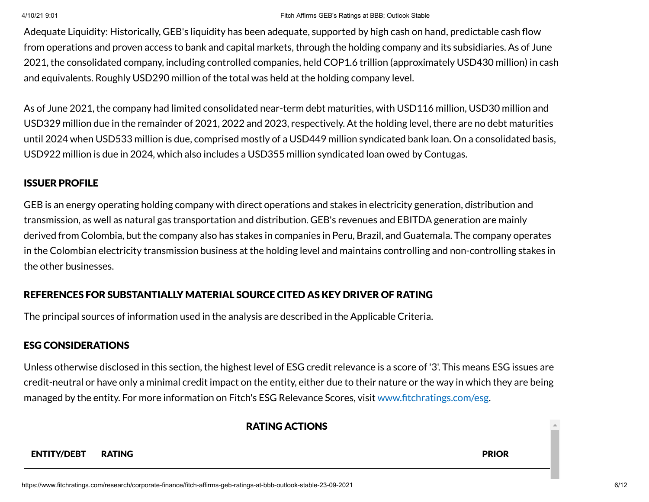Adequate Liquidity: Historically, GEB's liquidity has been adequate, supported by high cash on hand, predictable cash flow from operations and proven access to bank and capital markets, through the holding company and its subsidiaries. As of June 2021, the consolidated company, including controlled companies, held COP1.6 trillion (approximately USD430 million) in cash and equivalents. Roughly USD290 million of the total was held at the holding company level.

As of June 2021, the company had limited consolidated near-term debt maturities, with USD116 million, USD30 million and USD329 million due in the remainder of 2021, 2022 and 2023, respectively. At the holding level, there are no debt maturities until 2024 when USD533 million is due, comprised mostly of a USD449 million syndicated bank loan. On a consolidated basis, USD922 million is due in 2024, which also includes a USD355 million syndicated loan owed by Contugas.

# ISSUER PROFILE

GEB is an energy operating holding company with direct operations and stakes in electricity generation, distribution and transmission, as well as natural gas transportation and distribution. GEB's revenues and EBITDA generation are mainly derived from Colombia, but the company also has stakes in companies in Peru, Brazil, and Guatemala. The company operates in the Colombian electricity transmission business at the holding level and maintains controlling and non-controlling stakes in the other businesses.

# REFERENCES FOR SUBSTANTIALLY MATERIAL SOURCE CITED AS KEY DRIVER OF RATING

The principal sources of information used in the analysis are described in the Applicable Criteria.

# ESG CONSIDERATIONS

Unless otherwise disclosed in this section, the highest level of ESG credit relevance is a score of '3'. This means ESG issues are credit-neutral or have only a minimal credit impact on the entity, either due to their nature or the way in which they are being managed by the entity. For more information on Fitch's ESG Relevance Scores, visit [www.fitchratings.com/esg.](http://www.fitchratings.com/esg)

# RATING ACTIONS

### ENTITY/DEBT RATING PRIOR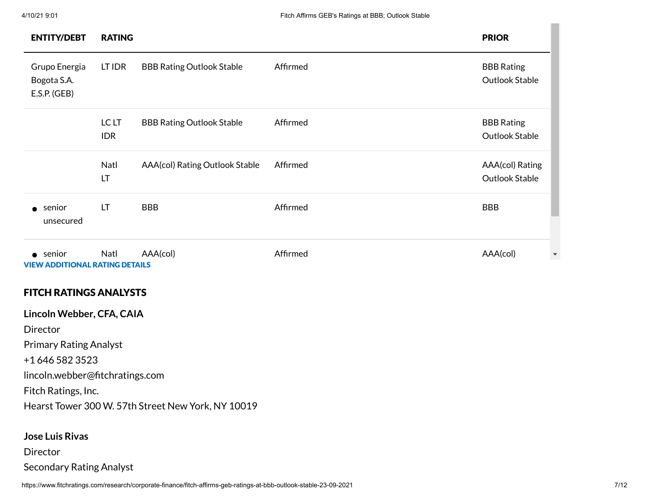| <b>ENTITY/DEBT</b>                                        | <b>RATING</b>       |                                  |          |  | <b>PRIOR</b>                        |
|-----------------------------------------------------------|---------------------|----------------------------------|----------|--|-------------------------------------|
| Grupo Energia<br>Bogota S.A.<br>E.S.P. (GEB)              | LT IDR              | <b>BBB Rating Outlook Stable</b> | Affirmed |  | <b>BBB Rating</b><br>Outlook Stable |
|                                                           | LC LT<br><b>IDR</b> | <b>BBB Rating Outlook Stable</b> | Affirmed |  | <b>BBB Rating</b><br>Outlook Stable |
|                                                           | Natl<br>LT          | AAA(col) Rating Outlook Stable   | Affirmed |  | AAA(col) Rating<br>Outlook Stable   |
| senior<br>$\bullet$<br>unsecured                          | LT                  | <b>BBB</b>                       | Affirmed |  | <b>BBB</b>                          |
| $\bullet$ senior<br><b>VIEW ADDITIONAL RATING DETAILS</b> | Natl                | AAA(col)                         | Affirmed |  | AAA(col)                            |
| <b>FITCH RATINGS ANALYSTS</b>                             |                     |                                  |          |  |                                     |
| Lincoln Webber, CFA, CAIA                                 |                     |                                  |          |  |                                     |
| Director                                                  |                     |                                  |          |  |                                     |
| <b>Primary Rating Analyst</b>                             |                     |                                  |          |  |                                     |
| +1 646 582 3523                                           |                     |                                  |          |  |                                     |
| lincoln.webber@fitchratings.com                           |                     |                                  |          |  |                                     |

Fitch Ratings, Inc.

Hearst Tower 300 W. 57th Street New York, NY 10019

# **Jose Luis Rivas**

# **Director**

Secondary Rating Analyst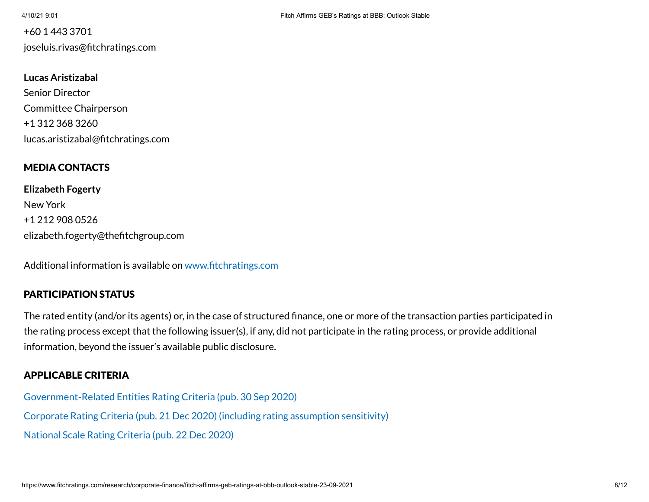# +60 1 443 3701 joseluis.rivas@fitchratings.com

### **Lucas Aristizabal**

Senior Director Committee Chairperson +1 312 368 3260 lucas.aristizabal@fitchratings.com

# MEDIA CONTACTS

**Elizabeth Fogerty** New York +1 212 908 0526 elizabeth.fogerty@thefitchgroup.com

Additional information is available on [www.fitchratings.com](http://www.fitchratings.com/)

# PARTICIPATION STATUS

The rated entity (and/or its agents) or, in the case of structured finance, one or more of the transaction parties participated in the rating process except that the following issuer(s), if any, did not participate in the rating process, or provide additional information, beyond the issuer's available public disclosure.

# APPLICABLE CRITERIA

[Government-Related Entities](https://www.fitchratings.com/research/international-public-finance/government-related-entities-rating-criteria-30-09-2020) Rating Criteria (pub. 30 Sep 2020) Corporate Rating Criteria (pub. 21 Dec 2020) (including rating [assumption](https://www.fitchratings.com/research/corporate-finance/corporate-rating-criteria-21-12-2020) sensitivity) National Scale Rating Criteria (pub. 22 [Dec 2020\)](https://www.fitchratings.com/research/corporate-finance/national-scale-rating-criteria-22-12-2020)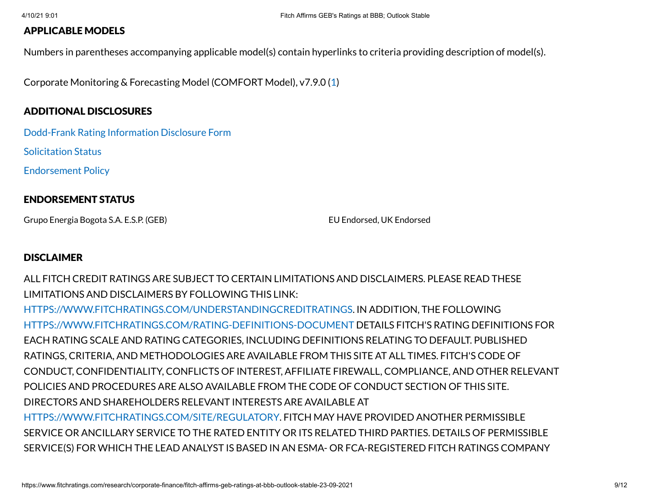# APPLICABLE MODELS

Numbers in parentheses accompanying applicable model(s) contain hyperlinks to criteria providing description of model(s).

Corporate Monitoring & Forecasting Model (COMFORT Model), v7.9.0 ([1\)](https://www.fitchratings.com/research/corporate-finance/corporate-rating-criteria-21-12-2020)

# ADDITIONAL DISCLOSURES

[Dodd-Frank](https://www.fitchratings.com/research/corporate-finance/fitch-affirms-geb-ratings-at-bbb-outlook-stable-23-09-2021/dodd-frank-disclosure) Rating Information Disclosure Form

Solicitation Status

[Endorsement](#page-11-0) Policy

# ENDORSEMENT STATUS

Grupo Energia Bogota S.A. E.S.P. (GEB) EU Endorsed, UK Endorsed

# **DISCLAIMER**

ALL FITCH CREDIT RATINGS ARE SUBJECT TO CERTAIN LIMITATIONS AND DISCLAIMERS. PLEASE READ THESE LIMITATIONS AND DISCLAIMERS BY FOLLOWING THIS LINK:

[HTTPS://WWW.FITCHRATINGS.COM/UNDERSTANDINGCREDITRATINGS](https://www.fitchratings.com/UNDERSTANDINGCREDITRATINGS). IN ADDITION, THE FOLLOWING [HTTPS://WWW.FITCHRATINGS.COM/RATING-DEFINITIONS-DOCUMENT](https://www.fitchratings.com/rating-definitions-document) DETAILS FITCH'S RATING DEFINITIONS FOR EACH RATING SCALE AND RATING CATEGORIES, INCLUDING DEFINITIONS RELATING TO DEFAULT. PUBLISHED RATINGS, CRITERIA, AND METHODOLOGIES ARE AVAILABLE FROM THIS SITE AT ALL TIMES. FITCH'S CODE OF CONDUCT, CONFIDENTIALITY, CONFLICTS OF INTEREST, AFFILIATE FIREWALL, COMPLIANCE, AND OTHER RELEVANT POLICIES AND PROCEDURES ARE ALSO AVAILABLE FROM THE CODE OF CONDUCT SECTION OF THIS SITE. DIRECTORS AND SHAREHOLDERS RELEVANT INTERESTS ARE AVAILABLE AT [HTTPS://WWW.FITCHRATINGS.COM/SITE/REGULATORY](https://www.fitchratings.com/site/regulatory). FITCH MAY HAVE PROVIDED ANOTHER PERMISSIBLE SERVICE OR ANCILLARY SERVICE TO THE RATED ENTITY OR ITS RELATED THIRD PARTIES. DETAILS OF PERMISSIBLE SERVICE(S) FOR WHICH THE LEAD ANALYST IS BASED IN AN ESMA- OR FCA-REGISTERED FITCH RATINGS COMPANY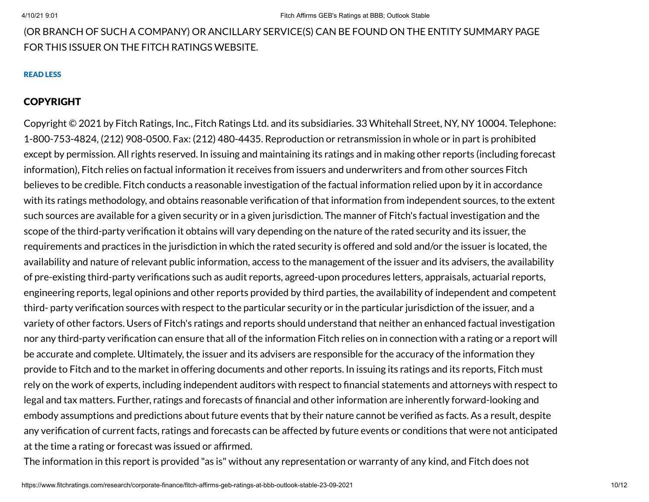# (OR BRANCH OF SUCH A COMPANY) OR ANCILLARY SERVICE(S) CAN BE FOUND ON THE ENTITY SUMMARY PAGE FOR THIS ISSUER ON THE FITCH RATINGS WEBSITE.

### READ LESS

# COPYRIGHT

Copyright © 2021 by Fitch Ratings, Inc., Fitch Ratings Ltd. and its subsidiaries. 33 Whitehall Street, NY, NY 10004. Telephone: 1-800-753-4824, (212) 908-0500. Fax: (212) 480-4435. Reproduction or retransmission in whole or in part is prohibited except by permission. All rights reserved. In issuing and maintaining its ratings and in making other reports (including forecast information), Fitch relies on factual information it receives from issuers and underwriters and from other sources Fitch believes to be credible. Fitch conducts a reasonable investigation of the factual information relied upon by it in accordance with its ratings methodology, and obtains reasonable verification of that information from independent sources, to the extent such sources are available for a given security or in a given jurisdiction. The manner of Fitch's factual investigation and the scope of the third-party verification it obtains will vary depending on the nature of the rated security and its issuer, the requirements and practices in the jurisdiction in which the rated security is offered and sold and/or the issuer is located, the availability and nature of relevant public information, access to the management of the issuer and its advisers, the availability of pre-existing third-party verifications such as audit reports, agreed-upon procedures letters, appraisals, actuarial reports, engineering reports, legal opinions and other reports provided by third parties, the availability of independent and competent third- party verification sources with respect to the particular security or in the particular jurisdiction of the issuer, and a variety of other factors. Users of Fitch's ratings and reports should understand that neither an enhanced factual investigation nor any third-party verification can ensure that all of the information Fitch relies on in connection with a rating or a report will be accurate and complete. Ultimately, the issuer and its advisers are responsible for the accuracy of the information they provide to Fitch and to the market in offering documents and other reports. In issuing its ratings and its reports, Fitch must rely on the work of experts, including independent auditors with respect to financial statements and attorneys with respect to legal and tax matters. Further, ratings and forecasts of financial and other information are inherently forward-looking and embody assumptions and predictions about future events that by their nature cannot be verified as facts. As a result, despite any verification of current facts, ratings and forecasts can be affected by future events or conditions that were not anticipated at the time a rating or forecast was issued or affirmed.

The information in this report is provided "as is" without any representation or warranty of any kind, and Fitch does not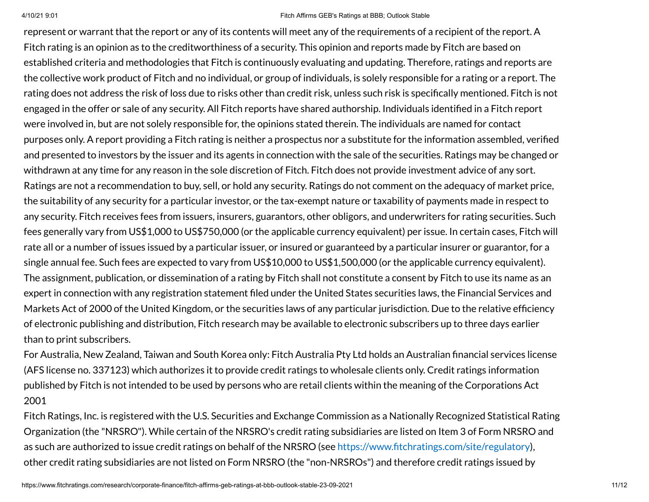represent or warrant that the report or any of its contents will meet any of the requirements of a recipient of the report. A Fitch rating is an opinion as to the creditworthiness of a security. This opinion and reports made by Fitch are based on established criteria and methodologies that Fitch is continuously evaluating and updating. Therefore, ratings and reports are the collective work product of Fitch and no individual, or group of individuals, is solely responsible for a rating or a report. The rating does not address the risk of loss due to risks other than credit risk, unless such risk is specifically mentioned. Fitch is not engaged in the offer or sale of any security. All Fitch reports have shared authorship. Individuals identified in a Fitch report were involved in, but are not solely responsible for, the opinions stated therein. The individuals are named for contact purposes only. A report providing a Fitch rating is neither a prospectus nor a substitute for the information assembled, verified and presented to investors by the issuer and its agents in connection with the sale of the securities. Ratings may be changed or withdrawn at any time for any reason in the sole discretion of Fitch. Fitch does not provide investment advice of any sort. Ratings are not a recommendation to buy, sell, or hold any security. Ratings do not comment on the adequacy of market price, the suitability of any security for a particular investor, or the tax-exempt nature or taxability of payments made in respect to any security. Fitch receives fees from issuers, insurers, guarantors, other obligors, and underwriters for rating securities. Such fees generally vary from US\$1,000 to US\$750,000 (or the applicable currency equivalent) per issue. In certain cases, Fitch will rate all or a number of issues issued by a particular issuer, or insured or guaranteed by a particular insurer or guarantor, for a single annual fee. Such fees are expected to vary from US\$10,000 to US\$1,500,000 (or the applicable currency equivalent). The assignment, publication, or dissemination of a rating by Fitch shall not constitute a consent by Fitch to use its name as an expert in connection with any registration statement filed under the United States securities laws, the Financial Services and Markets Act of 2000 of the United Kingdom, or the securities laws of any particular jurisdiction. Due to the relative efficiency of electronic publishing and distribution, Fitch research may be available to electronic subscribers up to three days earlier than to print subscribers.

For Australia, New Zealand, Taiwan and South Korea only: Fitch Australia Pty Ltd holds an Australian financial services license (AFS license no. 337123) which authorizes it to provide credit ratings to wholesale clients only. Credit ratings information published by Fitch is not intended to be used by persons who are retail clients within the meaning of the Corporations Act 2001

Fitch Ratings, Inc. is registered with the U.S. Securities and Exchange Commission as a Nationally Recognized Statistical Rating Organization (the "NRSRO"). While certain of the NRSRO's credit rating subsidiaries are listed on Item 3 of Form NRSRO and as such are authorized to issue credit ratings on behalf of the NRSRO (see [https://www.fitchratings.com/site/regulatory\)](https://www.fitchratings.com/site/regulatory), other credit rating subsidiaries are not listed on Form NRSRO (the "non-NRSROs") and therefore credit ratings issued by